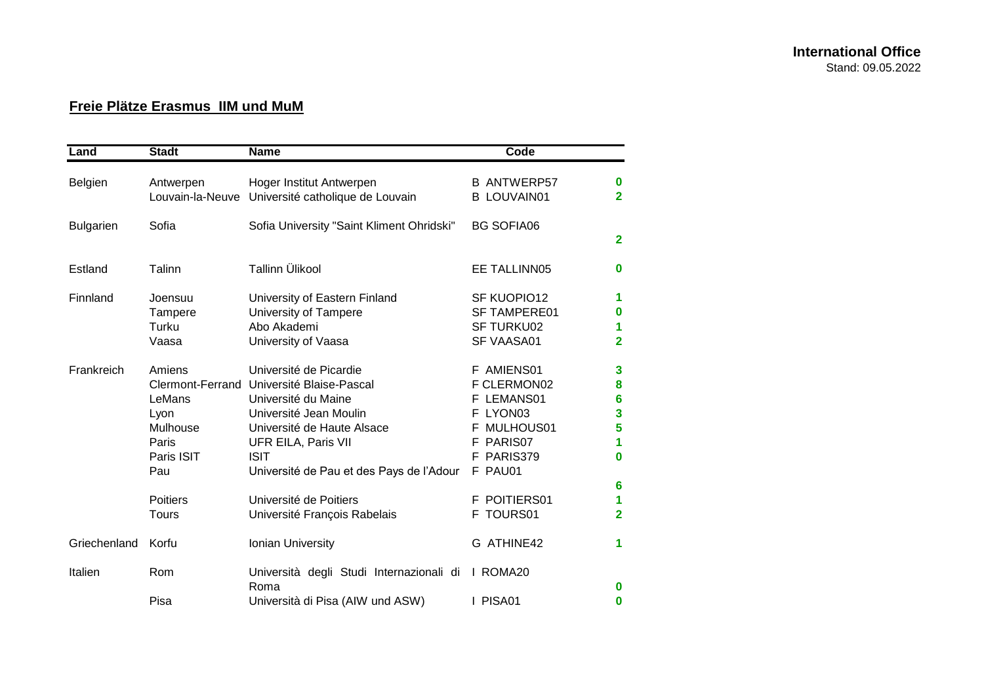## **Freie Plätze Erasmus IIM und MuM**

| Land             | <b>Stadt</b>                                                       | <b>Name</b>                                                                                                                                                                                                                          | Code                                                                                                        |                                                              |
|------------------|--------------------------------------------------------------------|--------------------------------------------------------------------------------------------------------------------------------------------------------------------------------------------------------------------------------------|-------------------------------------------------------------------------------------------------------------|--------------------------------------------------------------|
| Belgien          | Antwerpen<br>Louvain-la-Neuve                                      | Hoger Institut Antwerpen<br>Université catholique de Louvain                                                                                                                                                                         | <b>B ANTWERP57</b><br><b>B LOUVAIN01</b>                                                                    | $\bf{0}$<br>$\overline{2}$                                   |
| <b>Bulgarien</b> | Sofia                                                              | Sofia University "Saint Kliment Ohridski"                                                                                                                                                                                            | <b>BG SOFIA06</b>                                                                                           | $\overline{2}$                                               |
| Estland          | Talinn                                                             | <b>Tallinn Ülikool</b>                                                                                                                                                                                                               | EE TALLINN05                                                                                                | $\bf{0}$                                                     |
| Finnland         | Joensuu<br>Tampere<br>Turku<br>Vaasa                               | University of Eastern Finland<br><b>University of Tampere</b><br>Abo Akademi<br>University of Vaasa                                                                                                                                  | SF KUOPIO12<br><b>SF TAMPERE01</b><br><b>SF TURKU02</b><br>SF VAASA01                                       | 1<br>0<br>1<br>$\overline{2}$                                |
| Frankreich       | Amiens<br>LeMans<br>Lyon<br>Mulhouse<br>Paris<br>Paris ISIT<br>Pau | Université de Picardie<br>Clermont-Ferrand Université Blaise-Pascal<br>Université du Maine<br>Université Jean Moulin<br>Université de Haute Alsace<br>UFR EILA, Paris VII<br><b>ISIT</b><br>Université de Pau et des Pays de l'Adour | F AMIENS01<br>F CLERMON02<br>F LEMANS01<br>F LYON03<br>F MULHOUS01<br>PARIS07<br>F<br>F PARIS379<br>F PAU01 | $\mathbf{3}$<br>8<br>$6\phantom{a}$<br>3<br>5<br>1<br>0<br>6 |
|                  | <b>Poitiers</b><br><b>Tours</b>                                    | Université de Poitiers<br>Université François Rabelais                                                                                                                                                                               | F POITIERS01<br>F TOURS01                                                                                   | 1<br>$\overline{2}$                                          |
| Griechenland     | Korfu                                                              | Ionian University                                                                                                                                                                                                                    | G ATHINE42                                                                                                  | 1                                                            |
| Italien          | Rom<br>Pisa                                                        | Università degli Studi Internazionali di<br>Roma<br>Università di Pisa (AIW und ASW)                                                                                                                                                 | I ROMA20<br>I PISA01                                                                                        | $\bf{0}$<br>0                                                |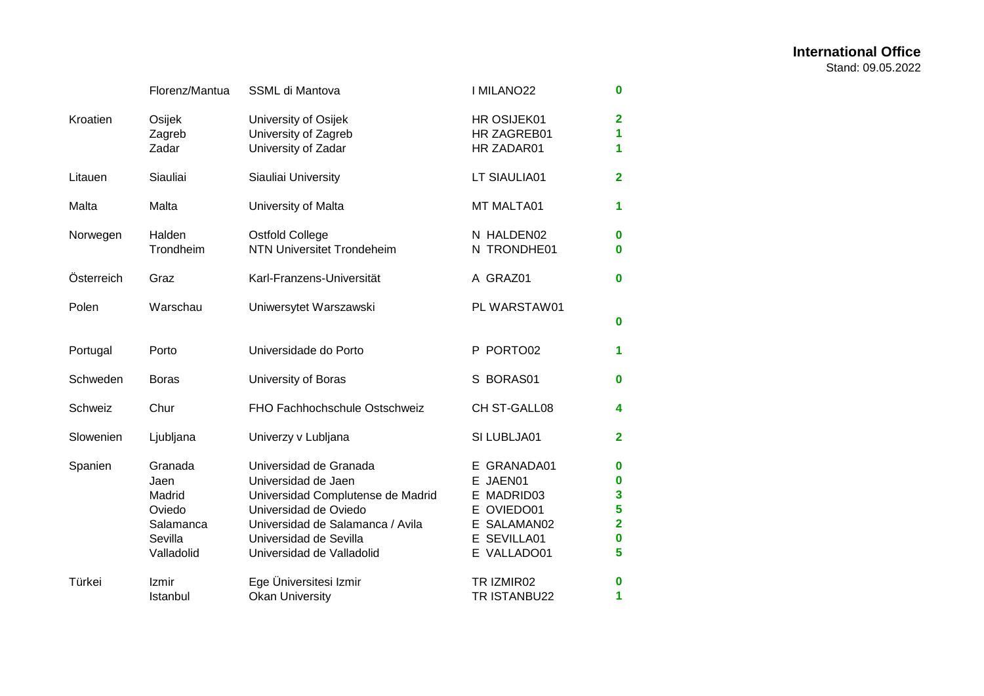|            | Florenz/Mantua                                                            | SSML di Mantova                                                                                                                                                                                        | I MILANO22                                                                                       | $\bf{0}$                                            |
|------------|---------------------------------------------------------------------------|--------------------------------------------------------------------------------------------------------------------------------------------------------------------------------------------------------|--------------------------------------------------------------------------------------------------|-----------------------------------------------------|
| Kroatien   | Osijek<br>Zagreb<br>Zadar                                                 | University of Osijek<br>University of Zagreb<br>University of Zadar                                                                                                                                    | HR OSIJEK01<br>HR ZAGREB01<br>HR ZADAR01                                                         | $\overline{2}$<br>1<br>1                            |
| Litauen    | Siauliai                                                                  | Siauliai University                                                                                                                                                                                    | LT SIAULIA01                                                                                     | $\mathbf{2}$                                        |
| Malta      | Malta                                                                     | University of Malta                                                                                                                                                                                    | MT MALTA01                                                                                       | 1                                                   |
| Norwegen   | Halden<br>Trondheim                                                       | <b>Ostfold College</b><br><b>NTN Universitet Trondeheim</b>                                                                                                                                            | N HALDEN02<br>N TRONDHE01                                                                        | $\bf{0}$<br>$\bf{0}$                                |
| Österreich | Graz                                                                      | Karl-Franzens-Universität                                                                                                                                                                              | A GRAZ01                                                                                         | $\bf{0}$                                            |
| Polen      | Warschau                                                                  | Uniwersytet Warszawski                                                                                                                                                                                 | PL WARSTAW01                                                                                     | $\bf{0}$                                            |
| Portugal   | Porto                                                                     | Universidade do Porto                                                                                                                                                                                  | P PORTO02                                                                                        | 1                                                   |
| Schweden   | <b>Boras</b>                                                              | University of Boras                                                                                                                                                                                    | S BORAS01                                                                                        | $\bf{0}$                                            |
| Schweiz    | Chur                                                                      | FHO Fachhochschule Ostschweiz                                                                                                                                                                          | CH ST-GALL08                                                                                     | 4                                                   |
| Slowenien  | Ljubljana                                                                 | Univerzy v Lubljana                                                                                                                                                                                    | SI LUBLJA01                                                                                      | $\mathbf{2}$                                        |
| Spanien    | Granada<br>Jaen<br>Madrid<br>Oviedo<br>Salamanca<br>Sevilla<br>Valladolid | Universidad de Granada<br>Universidad de Jaen<br>Universidad Complutense de Madrid<br>Universidad de Oviedo<br>Universidad de Salamanca / Avila<br>Universidad de Sevilla<br>Universidad de Valladolid | E GRANADA01<br>E JAEN01<br>E MADRID03<br>E OVIEDO01<br>E SALAMAN02<br>E SEVILLA01<br>E VALLADO01 | 0<br>$\bf{0}$<br>3<br>5<br>$\overline{2}$<br>0<br>5 |
| Türkei     | Izmir<br>Istanbul                                                         | Ege Üniversitesi Izmir<br><b>Okan University</b>                                                                                                                                                       | TR IZMIR02<br>TR ISTANBU22                                                                       | 0<br>1                                              |